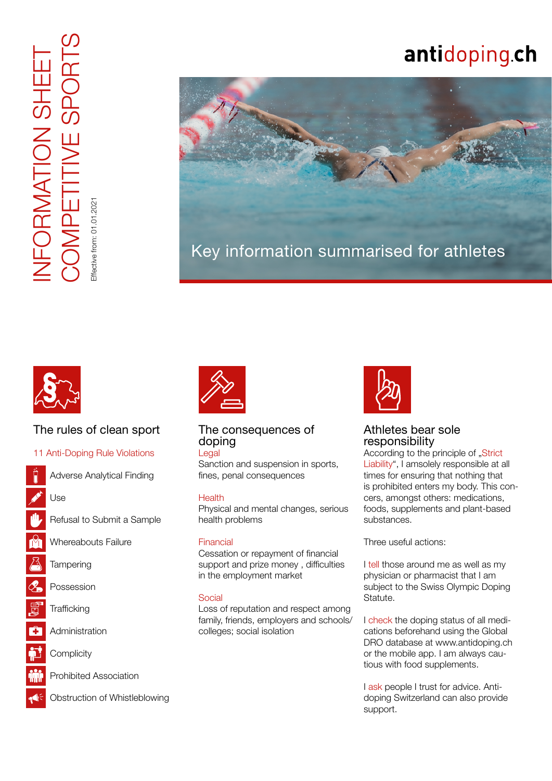COMPETITIVE SPORTS INFORMATION SHEET FORMATION SHEET<br>OMPETITIVE SPORT ffective from: 01.01.2021 Effective from: 01.01.2021

# antidoping.ch





# The rules of clean sport

### [11 Anti-Doping Rule Violations](https://www.antidoping.ch/en/laws/doping-statute)

- Adverse Analytical Finding
- Use
- Refusal to Submit a Sample
- Whereabouts Failure
- **Tampering**
- **Possession**
- **Trafficking**
- **Administration**
- **Complicity**





# The consequences of doping

Legal

Sanction and suspension in sports, fines, penal consequences

### **Health**

Physical and mental changes, serious health problems

### Financial

Cessation or repayment of financial support and prize money , difficulties in the employment market

#### Social

Loss of reputation and respect among family, friends, employers and schools/ colleges; social isolation



# Athletes bear sole responsibility

According to the principle of . Strict [Liability"](https://www.antidoping.ch/en/prevention/athletes-know-how/rights-and-obligations#section-617), I amsolely responsible at all times for ensuring that nothing that is prohibited enters my body. This concers, amongst others: medications, foods, supplements and plant-based substances.

Three useful actions:

I [tell](https://www.antidoping.ch/en/prevention/athletes-know-how/rights-and-obligations#section-619) those around me as well as my physician or pharmacist that I am subject to the Swiss Olympic Doping Statute.

I [check](https://www.antidoping.ch/en/medicine/medication-inquiry-service-global-dro) the doping status of all medications beforehand using the Global DRO database at www.antidoping.ch or the mobile app. I am always cautious with food supplements.

I [ask](https://www.antidoping.ch/en/contact) people I trust for advice. Antidoping Switzerland can also provide support.

• Obstruction of Whistleblowing